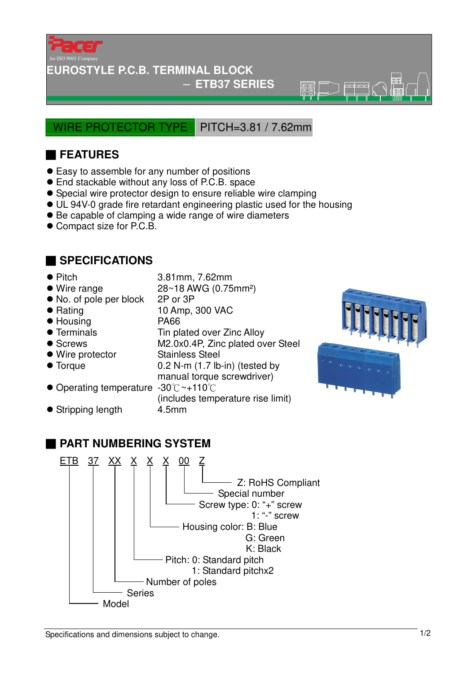

### **EUROSTYLE P.C.B. TERMINAL BLOCK**

#### − **ETB37 SERIES**

 $\overline{\circ}$ 

### WIRE PROTECTOR TYPE PITCH=3.81 / 7.62mm

# ■ **FEATURES**

- Easy to assemble for any number of positions
- End stackable without any loss of P.C.B. space
- Special wire protector design to ensure reliable wire clamping
- UL 94V-0 grade fire retardant engineering plastic used for the housing
- Be capable of clamping a wide range of wire diameters
- Compact size for P.C.B.

## ■ **SPECIFICATIONS**

- Pitch 3.81mm, 7.62mm
- Wire range 28~18 AWG (0.75mm<sup>2</sup>)
- No. of pole per block 2P or 3P
- Rating 10 Amp, 300 VAC
- Housing PA66
- Terminals Tin plated over Zinc Alloy
- Screws M2.0x0.4P, Zinc plated over Steel
- Wire protector Stainless Steel
- 
- Torque 0.2 N-m (1.7 lb-in) (tested by
	- manual torque screwdriver)
- Operating temperature -30 °C ~+110 °C

(includes temperature rise limit)

- Stripping length 4.5mm
- 



# ■ **PART NUMBERING SYSTEM**